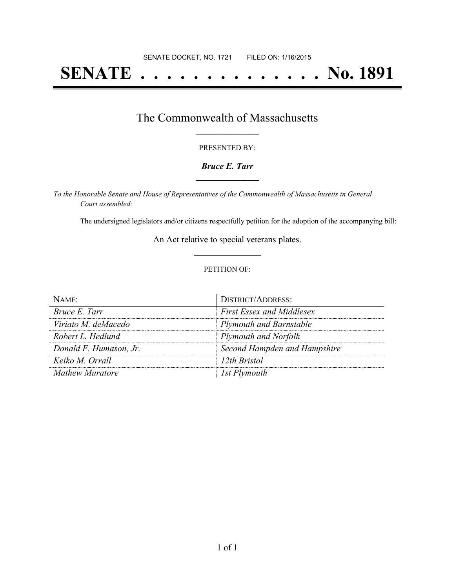# **SENATE . . . . . . . . . . . . . . No. 1891**

## The Commonwealth of Massachusetts **\_\_\_\_\_\_\_\_\_\_\_\_\_\_\_\_\_**

#### PRESENTED BY:

#### *Bruce E. Tarr* **\_\_\_\_\_\_\_\_\_\_\_\_\_\_\_\_\_**

*To the Honorable Senate and House of Representatives of the Commonwealth of Massachusetts in General Court assembled:*

The undersigned legislators and/or citizens respectfully petition for the adoption of the accompanying bill:

An Act relative to special veterans plates. **\_\_\_\_\_\_\_\_\_\_\_\_\_\_\_**

#### PETITION OF:

| $N$ AME:               | <b>DISTRICT/ADDRESS:</b>         |
|------------------------|----------------------------------|
| Bruce E. Tarr          | <b>First Essex and Middlesex</b> |
| Viriato M. deMacedo    | <b>Plymouth and Barnstable</b>   |
| Robert L. Hedlund      | Plymouth and Norfolk             |
| Donald F. Humason, Jr. | Second Hampden and Hampshire     |
| Keiko M. Orrall        | 12th Bristol                     |
| Mathew Muratore        | 1st Plymouth                     |